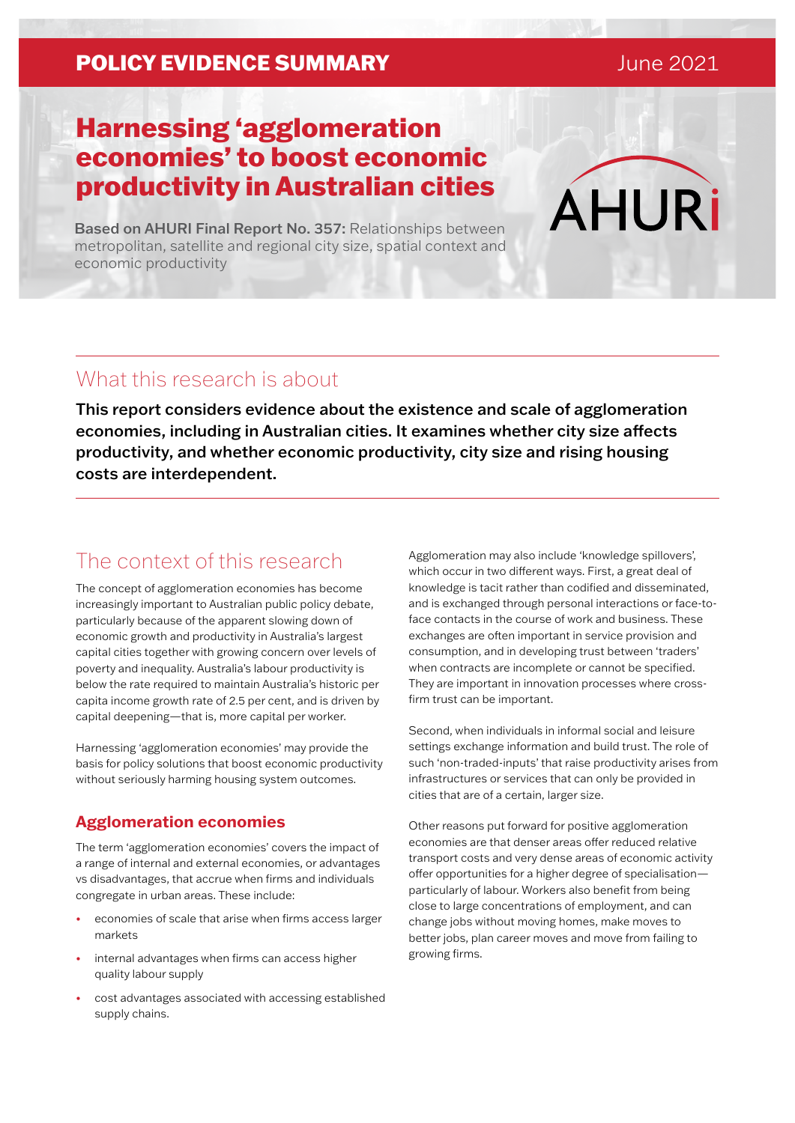### **POLICY EVIDENCE SUMMARY CONVERTED AND RESIDENCE**

# Harnessing 'agglomeration economies' to boost economic productivity in Australian cities

Based on AHURI Final Report No. 357: Relationships between metropolitan, satellite and regional city size, spatial context and economic productivity

### What this research is about

This report considers evidence about the existence and scale of agglomeration economies, including in Australian cities. It examines whether city size affects productivity, and whether economic productivity, city size and rising housing costs are interdependent.

### The context of this research

The concept of agglomeration economies has become increasingly important to Australian public policy debate, particularly because of the apparent slowing down of economic growth and productivity in Australia's largest capital cities together with growing concern over levels of poverty and inequality. Australia's labour productivity is below the rate required to maintain Australia's historic per capita income growth rate of 2.5 per cent, and is driven by capital deepening—that is, more capital per worker.

Harnessing 'agglomeration economies' may provide the basis for policy solutions that boost economic productivity without seriously harming housing system outcomes.

#### **Agglomeration economies**

The term 'agglomeration economies' covers the impact of a range of internal and external economies, or advantages vs disadvantages, that accrue when firms and individuals congregate in urban areas. These include:

- economies of scale that arise when firms access larger markets
- internal advantages when firms can access higher quality labour supply
- cost advantages associated with accessing established supply chains.

Agglomeration may also include 'knowledge spillovers', which occur in two different ways. First, a great deal of knowledge is tacit rather than codified and disseminated, and is exchanged through personal interactions or face-toface contacts in the course of work and business. These exchanges are often important in service provision and consumption, and in developing trust between 'traders' when contracts are incomplete or cannot be specified. They are important in innovation processes where crossfirm trust can be important.

Second, when individuals in informal social and leisure settings exchange information and build trust. The role of such 'non-traded-inputs' that raise productivity arises from infrastructures or services that can only be provided in cities that are of a certain, larger size.

Other reasons put forward for positive agglomeration economies are that denser areas offer reduced relative transport costs and very dense areas of economic activity offer opportunities for a higher degree of specialisation particularly of labour. Workers also benefit from being close to large concentrations of employment, and can change jobs without moving homes, make moves to better jobs, plan career moves and move from failing to growing firms.

**AHURi**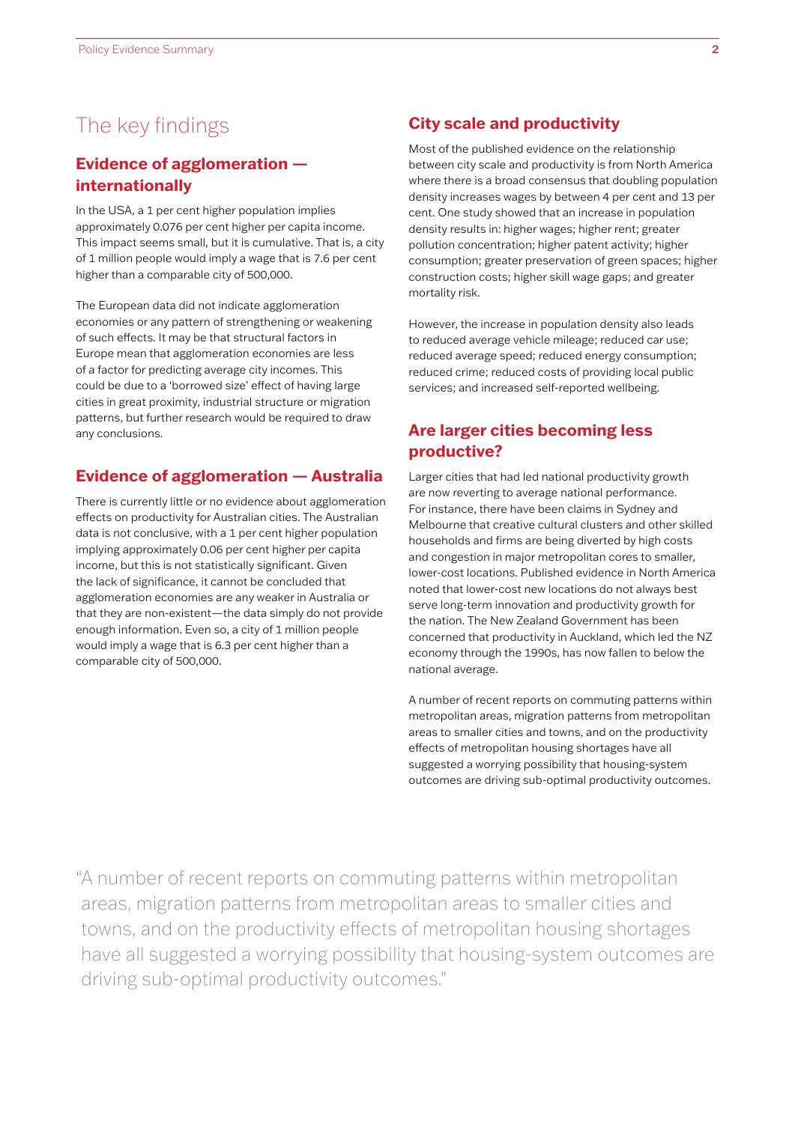### The key findings

#### **Evidence of agglomeration internationally**

In the USA, a 1 per cent higher population implies approximately 0.076 per cent higher per capita income. This impact seems small, but it is cumulative. That is, a city of 1 million people would imply a wage that is 7.6 per cent higher than a comparable city of 500,000.

The European data did not indicate agglomeration economies or any pattern of strengthening or weakening of such effects. It may be that structural factors in Europe mean that agglomeration economies are less of a factor for predicting average city incomes. This could be due to a 'borrowed size' effect of having large cities in great proximity, industrial structure or migration patterns, but further research would be required to draw any conclusions.

#### **Evidence of agglomeration — Australia**

There is currently little or no evidence about agglomeration effects on productivity for Australian cities. The Australian data is not conclusive, with a 1 per cent higher population implying approximately 0.06 per cent higher per capita income, but this is not statistically significant. Given the lack of significance, it cannot be concluded that agglomeration economies are any weaker in Australia or that they are non-existent—the data simply do not provide enough information. Even so, a city of 1 million people would imply a wage that is 6.3 per cent higher than a comparable city of 500,000.

#### **City scale and productivity**

Most of the published evidence on the relationship between city scale and productivity is from North America where there is a broad consensus that doubling population density increases wages by between 4 per cent and 13 per cent. One study showed that an increase in population density results in: higher wages; higher rent; greater pollution concentration; higher patent activity; higher consumption; greater preservation of green spaces; higher construction costs; higher skill wage gaps; and greater mortality risk.

However, the increase in population density also leads to reduced average vehicle mileage; reduced car use; reduced average speed; reduced energy consumption; reduced crime; reduced costs of providing local public services; and increased self-reported wellbeing.

#### **Are larger cities becoming less productive?**

Larger cities that had led national productivity growth are now reverting to average national performance. For instance, there have been claims in Sydney and Melbourne that creative cultural clusters and other skilled households and firms are being diverted by high costs and congestion in major metropolitan cores to smaller, lower-cost locations. Published evidence in North America noted that lower-cost new locations do not always best serve long-term innovation and productivity growth for the nation. The New Zealand Government has been concerned that productivity in Auckland, which led the NZ economy through the 1990s, has now fallen to below the national average.

A number of recent reports on commuting patterns within metropolitan areas, migration patterns from metropolitan areas to smaller cities and towns, and on the productivity effects of metropolitan housing shortages have all suggested a worrying possibility that housing-system outcomes are driving sub-optimal productivity outcomes.

"A number of recent reports on commuting patterns within metropolitan areas, migration patterns from metropolitan areas to smaller cities and towns, and on the productivity effects of metropolitan housing shortages have all suggested a worrying possibility that housing-system outcomes are driving sub-optimal productivity outcomes."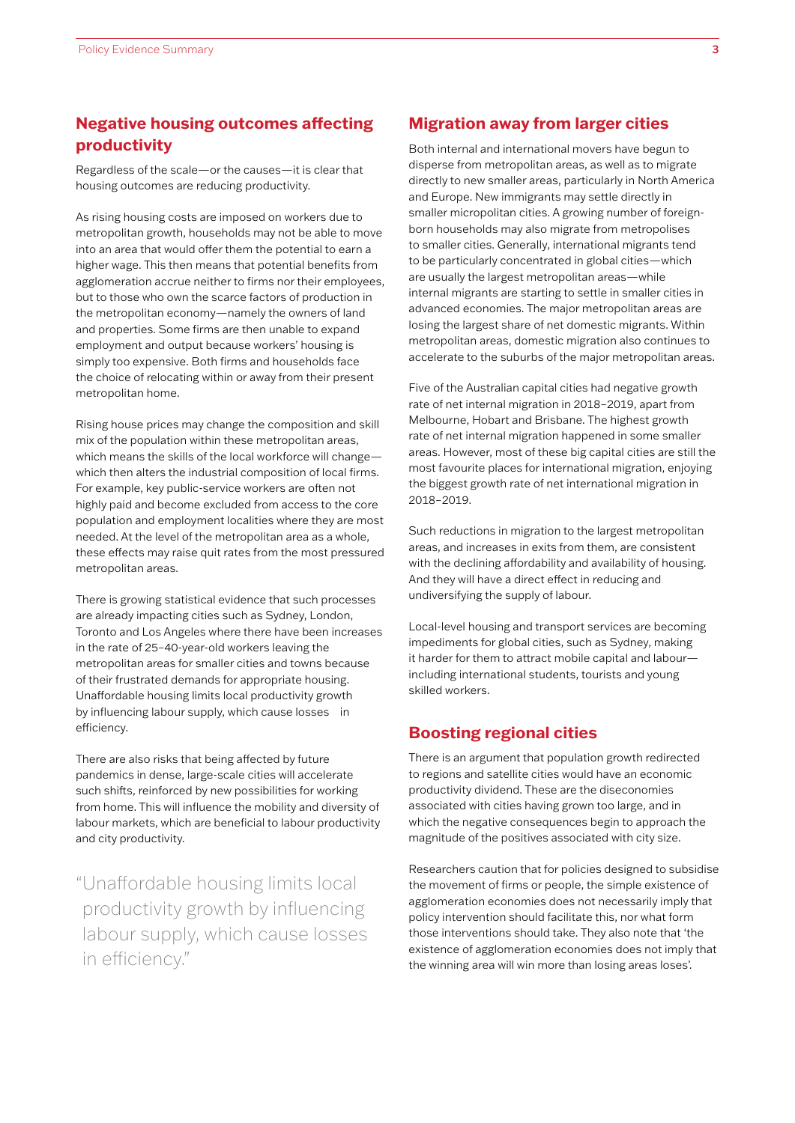### **Negative housing outcomes affecting productivity**

Regardless of the scale—or the causes—it is clear that housing outcomes are reducing productivity.

As rising housing costs are imposed on workers due to metropolitan growth, households may not be able to move into an area that would offer them the potential to earn a higher wage. This then means that potential benefits from agglomeration accrue neither to firms nor their employees, but to those who own the scarce factors of production in the metropolitan economy—namely the owners of land and properties. Some firms are then unable to expand employment and output because workers' housing is simply too expensive. Both firms and households face the choice of relocating within or away from their present metropolitan home.

Rising house prices may change the composition and skill mix of the population within these metropolitan areas, which means the skills of the local workforce will change which then alters the industrial composition of local firms. For example, key public-service workers are often not highly paid and become excluded from access to the core population and employment localities where they are most needed. At the level of the metropolitan area as a whole, these effects may raise quit rates from the most pressured metropolitan areas.

There is growing statistical evidence that such processes are already impacting cities such as Sydney, London, Toronto and Los Angeles where there have been increases in the rate of 25–40-year-old workers leaving the metropolitan areas for smaller cities and towns because of their frustrated demands for appropriate housing. Unaffordable housing limits local productivity growth by influencing labour supply, which cause losses in efficiency.

There are also risks that being affected by future pandemics in dense, large-scale cities will accelerate such shifts, reinforced by new possibilities for working from home. This will influence the mobility and diversity of labour markets, which are beneficial to labour productivity and city productivity.

"Unaffordable housing limits local productivity growth by influencing labour supply, which cause losses in efficiency."

#### **Migration away from larger cities**

Both internal and international movers have begun to disperse from metropolitan areas, as well as to migrate directly to new smaller areas, particularly in North America and Europe. New immigrants may settle directly in smaller micropolitan cities. A growing number of foreignborn households may also migrate from metropolises to smaller cities. Generally, international migrants tend to be particularly concentrated in global cities—which are usually the largest metropolitan areas—while internal migrants are starting to settle in smaller cities in advanced economies. The major metropolitan areas are losing the largest share of net domestic migrants. Within metropolitan areas, domestic migration also continues to accelerate to the suburbs of the major metropolitan areas.

Five of the Australian capital cities had negative growth rate of net internal migration in 2018–2019, apart from Melbourne, Hobart and Brisbane. The highest growth rate of net internal migration happened in some smaller areas. However, most of these big capital cities are still the most favourite places for international migration, enjoying the biggest growth rate of net international migration in 2018–2019.

Such reductions in migration to the largest metropolitan areas, and increases in exits from them, are consistent with the declining affordability and availability of housing. And they will have a direct effect in reducing and undiversifying the supply of labour.

Local-level housing and transport services are becoming impediments for global cities, such as Sydney, making it harder for them to attract mobile capital and labour including international students, tourists and young skilled workers.

#### **Boosting regional cities**

There is an argument that population growth redirected to regions and satellite cities would have an economic productivity dividend. These are the diseconomies associated with cities having grown too large, and in which the negative consequences begin to approach the magnitude of the positives associated with city size.

Researchers caution that for policies designed to subsidise the movement of firms or people, the simple existence of agglomeration economies does not necessarily imply that policy intervention should facilitate this, nor what form those interventions should take. They also note that 'the existence of agglomeration economies does not imply that the winning area will win more than losing areas loses'.